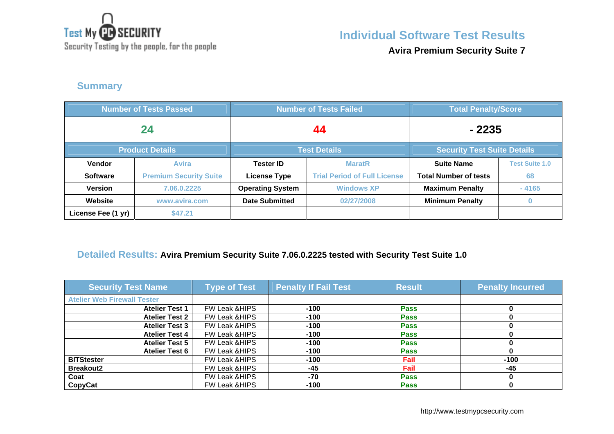

**Individual Software Test Results**

Security Testing by the people, for the people

**Avira Premium Security Suite 7**

#### **Summary**

| <b>Number of Tests Passed</b> |                               |                         | <b>Number of Tests Failed</b>       | <b>Total Penalty/Score</b>         |                       |
|-------------------------------|-------------------------------|-------------------------|-------------------------------------|------------------------------------|-----------------------|
| 24                            |                               |                         | 44                                  | $-2235$                            |                       |
| <b>Product Details</b>        |                               |                         | <b>Test Details</b>                 | <b>Security Test Suite Details</b> |                       |
| Vendor                        | <b>Avira</b>                  | <b>Tester ID</b>        | <b>MaratR</b>                       | <b>Suite Name</b>                  | <b>Test Suite 1.0</b> |
| <b>Software</b>               | <b>Premium Security Suite</b> | <b>License Type</b>     | <b>Trial Period of Full License</b> | <b>Total Number of tests</b>       | 68                    |
| <b>Version</b>                | 7.06.0.2225                   | <b>Operating System</b> | <b>Windows XP</b>                   | <b>Maximum Penalty</b>             | $-4165$               |
| Website                       | www.avira.com                 | <b>Date Submitted</b>   | 02/27/2008                          | <b>Minimum Penalty</b>             |                       |
| License Fee (1 yr)            | \$47.21                       |                         |                                     |                                    |                       |

#### **Detailed Results: Avira Premium Security Suite 7.06.0.2225 tested with Security Test Suite 1.0**

| <b>Security Test Name</b>          | <b>Type of Test</b>      | <b>Penalty If Fail Test</b> | <b>Result</b> | <b>Penalty Incurred</b> |
|------------------------------------|--------------------------|-----------------------------|---------------|-------------------------|
| <b>Atelier Web Firewall Tester</b> |                          |                             |               |                         |
| <b>Atelier Test 1</b>              | <b>FW Leak &amp;HIPS</b> | $-100$                      | <b>Pass</b>   |                         |
| <b>Atelier Test 2</b>              | <b>FW Leak &amp;HIPS</b> | -100                        | <b>Pass</b>   |                         |
| <b>Atelier Test 3</b>              | <b>FW Leak &amp;HIPS</b> | $-100$                      | <b>Pass</b>   |                         |
| <b>Atelier Test 4</b>              | <b>FW Leak &amp;HIPS</b> | $-100$                      | <b>Pass</b>   |                         |
| <b>Atelier Test 5</b>              | <b>FW Leak &amp;HIPS</b> | $-100$                      | <b>Pass</b>   |                         |
| <b>Atelier Test 6</b>              | <b>FW Leak &amp;HIPS</b> | $-100$                      | <b>Pass</b>   |                         |
| <b>BITStester</b>                  | <b>FW Leak &amp;HIPS</b> | $-100$                      | Fail          | $-100$                  |
| <b>Breakout2</b>                   | <b>FW Leak &amp;HIPS</b> | $-45$                       | Fail          | -45                     |
| Coat                               | <b>FW Leak &amp;HIPS</b> | $-70$                       | <b>Pass</b>   |                         |
| CopyCat                            | <b>FW Leak &amp;HIPS</b> | $-100$                      | <b>Pass</b>   |                         |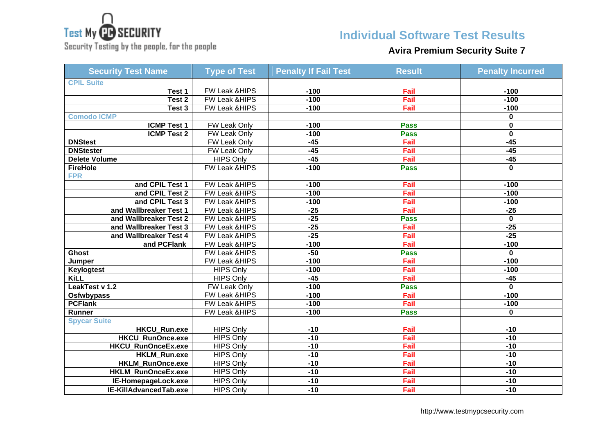

Security Testing by the people, for the people

# **Individual Software Test Results**

## **Avira Premium Security Suite 7**

| <b>Security Test Name</b> | <b>Type of Test</b>      | <b>Penalty If Fail Test</b> | <b>Result</b> | <b>Penalty Incurred</b> |
|---------------------------|--------------------------|-----------------------------|---------------|-------------------------|
| <b>CPIL Suite</b>         |                          |                             |               |                         |
| Test 1                    | FW Leak &HIPS            | $-100$                      | Fail          | $-100$                  |
| Test 2                    | FW Leak & HIPS           | $-100$                      | Fail          | $-100$                  |
| Test 3                    | FW Leak &HIPS            | $-100$                      | Fail          | $-100$                  |
| <b>Comodo ICMP</b>        |                          |                             |               | 0                       |
| <b>ICMP Test 1</b>        | <b>FW Leak Only</b>      | $-100$                      | <b>Pass</b>   | 0                       |
| <b>ICMP Test 2</b>        | FW Leak Only             | $-100$                      | <b>Pass</b>   | $\mathbf 0$             |
| <b>DNStest</b>            | FW Leak Only             | $-45$                       | Fail          | $-45$                   |
| <b>DNStester</b>          | FW Leak Only             | $-45$                       | Fail          | $-45$                   |
| <b>Delete Volume</b>      | <b>HIPS Only</b>         | $-45$                       | Fail          | $-45$                   |
| <b>FireHole</b>           | FW Leak &HIPS            | $-100$                      | <b>Pass</b>   | $\mathbf{0}$            |
| <b>FPR</b>                |                          |                             |               |                         |
| and CPIL Test 1           | <b>FW Leak &amp;HIPS</b> | $-100$                      | Fail          | $-100$                  |
| and CPIL Test 2           | <b>FW Leak &amp;HIPS</b> | $-100$                      | Fail          | $-100$                  |
| and CPIL Test 3           | FW Leak &HIPS            | $-100$                      | Fail          | $-100$                  |
| and Wallbreaker Test 1    | FW Leak &HIPS            | $-25$                       | Fail          | $-25$                   |
| and Wallbreaker Test 2    | FW Leak &HIPS            | $-25$                       | <b>Pass</b>   | $\mathbf{0}$            |
| and Wallbreaker Test 3    | FW Leak &HIPS            | $-25$                       | Fail          | $-25$                   |
| and Wallbreaker Test 4    | FW Leak &HIPS            | $-25$                       | Fail          | $-25$                   |
| and PCFlank               | FW Leak & HIPS           | $-100$                      | Fail          | $-100$                  |
| <b>Ghost</b>              | FW Leak &HIPS            | $-50$                       | <b>Pass</b>   | 0                       |
| Jumper                    | FW Leak &HIPS            | $-100$                      | Fail          | $-100$                  |
| <b>Keylogtest</b>         | <b>HIPS Only</b>         | $-100$                      | Fail          | $-100$                  |
| <b>KiLL</b>               | <b>HIPS Only</b>         | $-45$                       | Fail          | $-45$                   |
| LeakTest v 1.2            | <b>FW Leak Only</b>      | $-100$                      | <b>Pass</b>   | 0                       |
| <b>Osfwbypass</b>         | FW Leak & HIPS           | $-100$                      | Fail          | $-100$                  |
| <b>PCFlank</b>            | FW Leak & HIPS           | $-100$                      | Fail          | $-100$                  |
| <b>Runner</b>             | <b>FW Leak &amp;HIPS</b> | $-100$                      | <b>Pass</b>   | 0                       |
| <b>Spycar Suite</b>       |                          |                             |               |                         |
| <b>HKCU_Run.exe</b>       | <b>HIPS Only</b>         | $-10$                       | Fail          | $-10$                   |
| <b>HKCU RunOnce.exe</b>   | <b>HIPS Only</b>         | $-10$                       | Fail          | $-10$                   |
| <b>HKCU_RunOnceEx.exe</b> | <b>HIPS Only</b>         | $-10$                       | Fail          | $-10$                   |
| <b>HKLM_Run.exe</b>       | <b>HIPS Only</b>         | $-10$                       | Fail          | $-10$                   |
| <b>HKLM_RunOnce.exe</b>   | <b>HIPS Only</b>         | $-10$                       | Fail          | $-10$                   |
| HKLM_RunOnceEx.exe        | <b>HIPS Only</b>         | $-10$                       | Fail          | $-10$                   |
| IE-HomepageLock.exe       | <b>HIPS Only</b>         | $-10$                       | Fail          | $-10$                   |
| IE-KillAdvancedTab.exe    | <b>HIPS Only</b>         | $-10$                       | Fail          | $-10$                   |